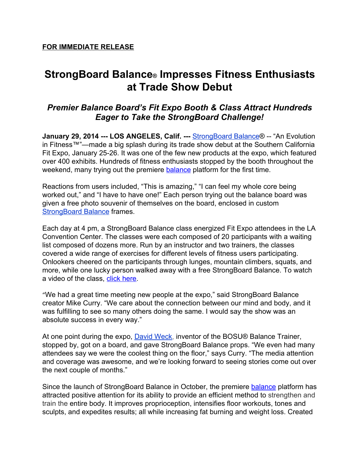# **StrongBoard Balance® Impresses Fitness Enthusiasts at Trade Show Debut**

## *Premier Balance Board's Fit Expo Booth & Class Attract Hundreds Eager to Take the StrongBoard Challenge!*

**January 29, 2014 --- LOS ANGELES, Calif. --- [StrongBoard](http://www.google.com/url?q=http%3A%2F%2Fstrongboardbalance.com&sa=D&sntz=1&usg=AFQjCNEViy_DA-uBaMBscr8szVUdLpUt7A) Balance® -- "An Evolution** in Fitness™"—made a big splash during its trade show debut at the Southern California Fit Expo, January 25-26. It was one of the few new products at the expo, which featured over 400 exhibits. Hundreds of fitness enthusiasts stopped by the booth throughout the weekend, many trying out the premiere [balance](http://www.google.com/url?q=http%3A%2F%2Fstrongboardbalance.com%2F2013%2F12%2Fharmony-from-within%2F&sa=D&sntz=1&usg=AFQjCNErZmBse3dulPGqT_HmvHIM5E8j1A) platform for the first time.

Reactions from users included, "This is amazing," "I can feel my whole core being worked out," and "I have to have one!" Each person trying out the balance board was given a free photo souvenir of themselves on the board, enclosed in custom [StrongBoard](https://www.google.com/url?q=https%3A%2F%2Ftwitter.com%2FStrongBoard&sa=D&sntz=1&usg=AFQjCNHWR1umgY9ov521Tn_o-v0AZW864g) Balance frames.

Each day at 4 pm, a StrongBoard Balance class energized Fit Expo attendees in the LA Convention Center. The classes were each composed of 20 participants with a waiting list composed of dozens more. Run by an instructor and two trainers, the classes covered a wide range of exercises for different levels of fitness users participating. Onlookers cheered on the participants through lunges, mountain climbers, squats, and more, while one lucky person walked away with a free StrongBoard Balance. To watch a video of the class, click [here](https://www.youtube.com/watch?v=Z46ItUo-Qo8&).

"We had a great time meeting new people at the expo," said StrongBoard Balance creator Mike Curry. "We care about the connection between our mind and body, and it was fulfilling to see so many others doing the same. I would say the show was an absolute success in every way."

At one point during the expo, [David](https://www.google.com/url?q=https%3A%2F%2Fwww.bosufitness.com%2Fabout.php%3FDavid-Weck-1&sa=D&sntz=1&usg=AFQjCNHM3XrL9okAu7Wyd2v7tNyMJeQ4dw) Weck, inventor of the BOSU® Balance Trainer, stopped by, got on a board, and gave StrongBoard Balance props. "We even had many attendees say we were the coolest thing on the floor," says Curry. "The media attention and coverage was awesome, and we're looking forward to seeing stories come out over the next couple of months."

Since the launch of StrongBoard Balance in October, the premiere **[balance](http://www.google.com/url?q=http%3A%2F%2Fstrongboardbalance.com%2F2013%2F12%2Fharmony-from-within%2F&sa=D&sntz=1&usg=AFQjCNErZmBse3dulPGqT_HmvHIM5E8j1A)** platform has attracted positive attention for its ability to provide an efficient method to strengthen and train the entire body. It improves proprioception, intensifies floor workouts, tones and sculpts, and expedites results; all while increasing fat burning and weight loss. Created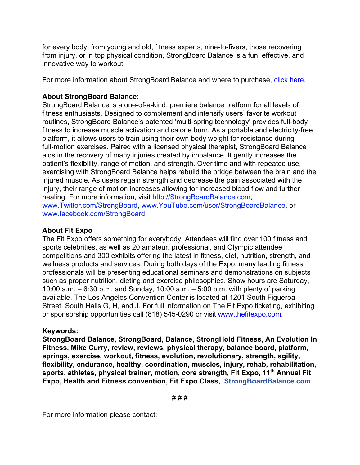for every body, from young and old, fitness experts, nine-to-fivers, those recovering from injury, or in top physical condition, StrongBoard Balance is a fun, effective, and innovative way to workout.

For more information about StrongBoard Balance and where to purchase, click [here.](http://www.google.com/url?q=http%3A%2F%2Fstrongboardbalance.com%2F&sa=D&sntz=1&usg=AFQjCNFncwbiCb0Ht92GUSUYsAwJkMPafg)

### **About StrongBoard Balance:**

StrongBoard Balance is a one-of-a-kind, premiere balance platform for all levels of fitness enthusiasts. Designed to complement and intensify users' favorite workout routines, StrongBoard Balance's patented 'multi-spring technology' provides full-body fitness to increase muscle activation and calorie burn. As a portable and electricity-free platform, it allows users to train using their own body weight for resistance during full-motion exercises. Paired with a licensed physical therapist, StrongBoard Balance aids in the recovery of many injuries created by imbalance. It gently increases the patient's flexibility, range of motion, and strength. Over time and with repeated use, exercising with StrongBoard Balance helps rebuild the bridge between the brain and the injured muscle. As users regain strength and decrease the pain associated with the injury, their range of motion increases allowing for increased blood flow and further healing. For more information, visit [http://StrongBoardBalance.com,](http://www.google.com/url?q=http%3A%2F%2Fstrongboardbalance.com%2F&sa=D&sntz=1&usg=AFQjCNFncwbiCb0Ht92GUSUYsAwJkMPafg) [www.Twitter.com/StrongBoard,](http://www.google.com/url?q=http%3A%2F%2Fwww.twitter.com%2FStrongBoard&sa=D&sntz=1&usg=AFQjCNHLQtb3h4UknzPpRtfRy7cBuumlVg) [www.YouTube.com/user/StrongBoardBalance,](http://www.youtube.com/user/StrongBoardBalance) or [www.facebook.com/StrongBoard.](http://www.google.com/url?q=http%3A%2F%2Fwww.facebook.com%2FStrongBoard&sa=D&sntz=1&usg=AFQjCNFjrwL_UQe9HFMQTxUntqUMFtDHMg)

### **About Fit Expo**

The Fit Expo offers something for everybody! Attendees will find over 100 fitness and sports celebrities, as well as 20 amateur, professional, and Olympic attendee competitions and 300 exhibits offering the latest in fitness, diet, nutrition, strength, and wellness products and services. During both days of the Expo, many leading fitness professionals will be presenting educational seminars and demonstrations on subjects such as proper nutrition, dieting and exercise philosophies. Show hours are Saturday, 10:00 a.m. – 6:30 p.m. and Sunday, 10:00 a.m. – 5:00 p.m. with plenty of parking available. The Los Angeles Convention Center is located at 1201 South Figueroa Street, South Halls G, H, and J. For full information on The Fit Expo ticketing, exhibiting or sponsorship opportunities call (818) 545-0290 or visit [www.thefitexpo.com](http://www.google.com/url?q=http%3A%2F%2Fthefitexpo.com%2F&sa=D&sntz=1&usg=AFQjCNFKyzHwBUeob7HaX21tKwm3bMSeag).

#### **Keywords:**

**StrongBoard Balance, StrongBoard, Balance, StrongHold Fitness, An Evolution In Fitness, Mike Curry, review, reviews, physical therapy, balance board, platform, springs, exercise, workout, fitness, evolution, revolutionary, strength, agility, flexibility, endurance, healthy, coordination, muscles, injury, rehab, rehabilitation, sports, athletes, physical trainer, motion, core strength, Fit Expo, 11 th Annual Fit Expo, Health and Fitness convention, Fit Expo Class, [StrongBoardBalance.com](http://www.google.com/url?q=http%3A%2F%2Fstrongboardbalance.com%2F&sa=D&sntz=1&usg=AFQjCNFncwbiCb0Ht92GUSUYsAwJkMPafg)**

For more information please contact: